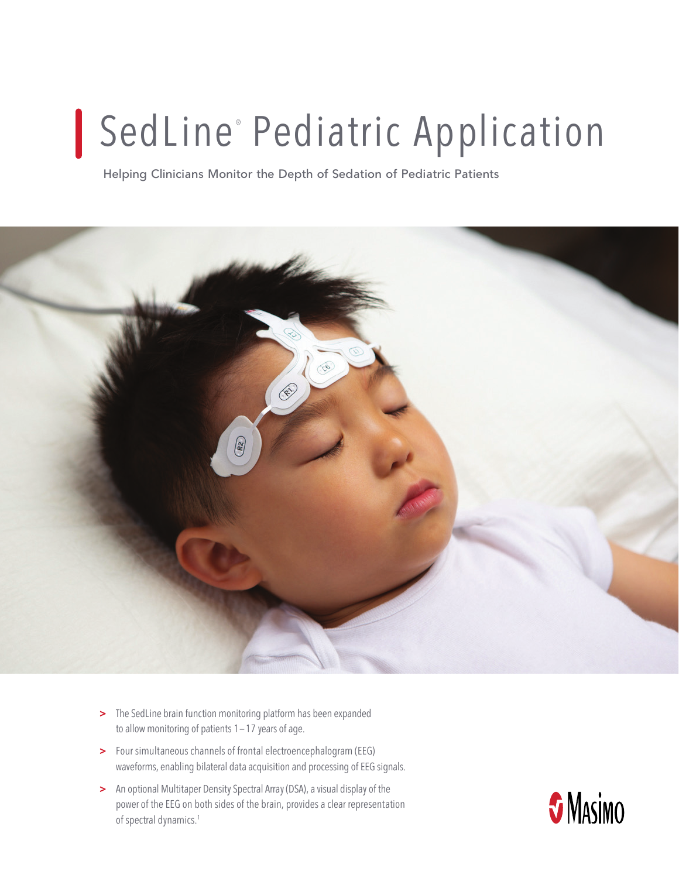## SedLine<sup>®</sup> Pediatric Application

**Helping Clinicians Monitor the Depth of Sedation of Pediatric Patients**



- > The SedLine brain function monitoring platform has been expanded to allow monitoring of patients  $1-17$  years of age.
- > Four simultaneous channels of frontal electroencephalogram (EEG) waveforms, enabling bilateral data acquisition and processing of EEG signals.
- > An optional Multitaper Density Spectral Array (DSA), a visual display of the power of the EEG on both sides of the brain, provides a clear representation of spectral dynamics.<sup>1</sup>